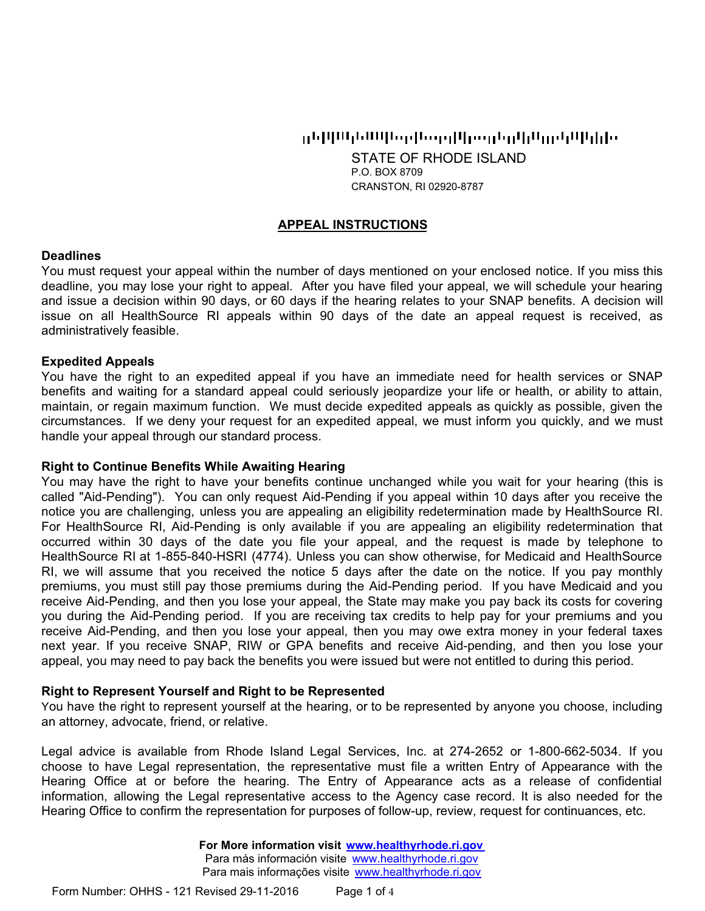## ցեկկայնակեցները կկողմից կրացանություններ

STATE OF RHODE ISLAND P.O. BOX 8709 CRANSTON, RI 02920-8787

## **APPEAL INSTRUCTIONS**

#### **Deadlines**

You must request your appeal within the number of days mentioned on your enclosed notice. If you miss this deadline, you may lose your right to appeal. After you have filed your appeal, we will schedule your hearing and issue a decision within 90 days, or 60 days if the hearing relates to your SNAP benefits. A decision will issue on all HealthSource RI appeals within 90 days of the date an appeal request is received, as administratively feasible.

#### **Expedited Appeals**

You have the right to an expedited appeal if you have an immediate need for health services or SNAP benefits and waiting for a standard appeal could seriously jeopardize your life or health, or ability to attain, maintain, or regain maximum function. We must decide expedited appeals as quickly as possible, given the circumstances. If we deny your request for an expedited appeal, we must inform you quickly, and we must handle your appeal through our standard process.

#### **Right to Continue Benefits While Awaiting Hearing**

You may have the right to have your benefits continue unchanged while you wait for your hearing (this is called "Aid-Pending"). You can only request Aid-Pending if you appeal within 10 days after you receive the notice you are challenging, unless you are appealing an eligibility redetermination made by HealthSource RI. For HealthSource RI, Aid-Pending is only available if you are appealing an eligibility redetermination that occurred within 30 days of the date you file your appeal, and the request is made by telephone to HealthSource RI at 1-855-840-HSRI (4774). Unless you can show otherwise, for Medicaid and HealthSource RI, we will assume that you received the notice 5 days after the date on the notice. If you pay monthly premiums, you must still pay those premiums during the Aid-Pending period. If you have Medicaid and you receive Aid-Pending, and then you lose your appeal, the State may make you pay back its costs for covering you during the Aid-Pending period. If you are receiving tax credits to help pay for your premiums and you receive Aid-Pending, and then you lose your appeal, then you may owe extra money in your federal taxes next year. If you receive SNAP, RIW or GPA benefits and receive Aid-pending, and then you lose your appeal, you may need to pay back the benefits you were issued but were not entitled to during this period.

#### **Right to Represent Yourself and Right to be Represented**

You have the right to represent yourself at the hearing, or to be represented by anyone you choose, including an attorney, advocate, friend, or relative.

Legal advice is available from Rhode Island Legal Services, Inc. at 274-2652 or 1-800-662-5034. If you choose to have Legal representation, the representative must file a written Entry of Appearance with the Hearing Office at or before the hearing. The Entry of Appearance acts as a release of confidential information, allowing the Legal representative access to the Agency case record. It is also needed for the Hearing Office to confirm the representation for purposes of follow-up, review, request for continuances, etc.

> **For More information visit www.healthyrhode.ri.gov** Para más información visite www.healthyrhode.ri.gov Para mais informações visite www.healthyrhode.ri.gov

Page 1 of 4 Form Number: OHHS - 121 Revised 29-11-2016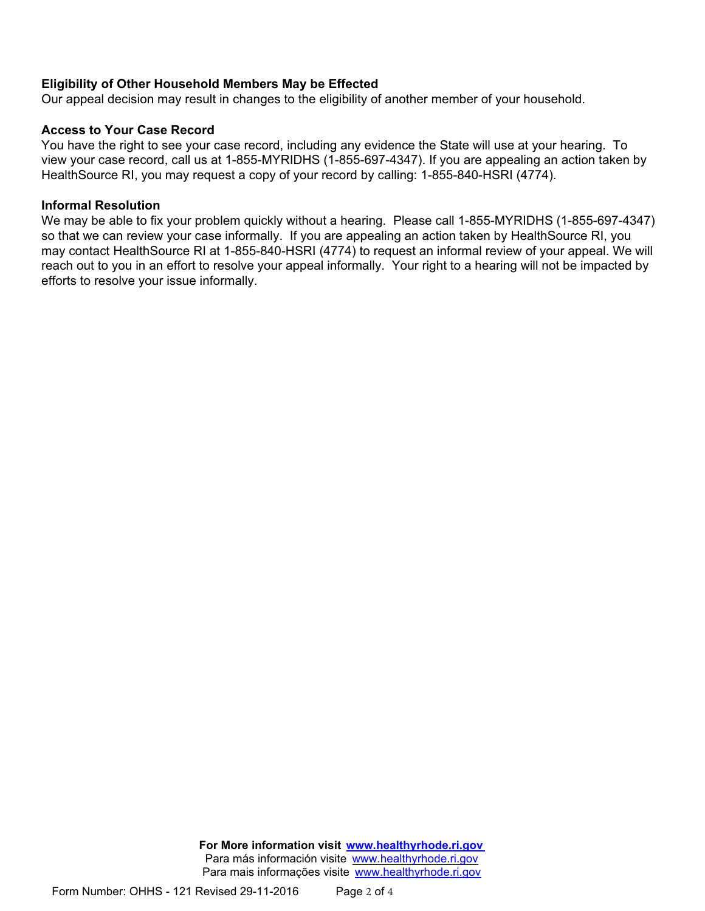## **Eligibility of Other Household Members May be Effected**

Our appeal decision may result in changes to the eligibility of another member of your household.

## **Access to Your Case Record**

You have the right to see your case record, including any evidence the State will use at your hearing. To view your case record, call us at 1-855-MYRIDHS (1-855-697-4347). If you are appealing an action taken by HealthSource RI, you may request a copy of your record by calling: 1-855-840-HSRI (4774).

## **Informal Resolution**

We may be able to fix your problem quickly without a hearing. Please call 1-855-MYRIDHS (1-855-697-4347) so that we can review your case informally. If you are appealing an action taken by HealthSource RI, you may contact HealthSource RI at 1-855-840-HSRI (4774) to request an informal review of your appeal. We will reach out to you in an effort to resolve your appeal informally. Your right to a hearing will not be impacted by efforts to resolve your issue informally.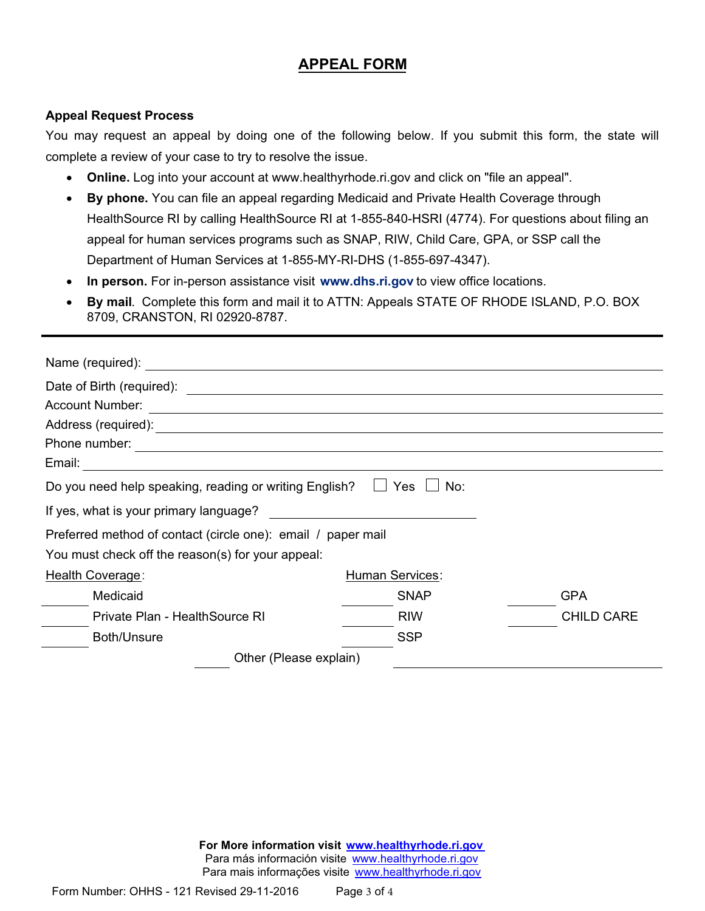# **APPEAL FORM**

## **Appeal Request Process**

You may request an appeal by doing one of the following below. If you submit this form, the state will complete a review of your case to try to resolve the issue.

- · **Online.** Log into your account at www.healthyrhode.ri.gov and click on "file an appeal".
- · **By phone.** You can file an appeal regarding Medicaid and Private Health Coverage through HealthSource RI by calling HealthSource RI at 1-855-840-HSRI (4774). For questions about filing an appeal for human services programs such as SNAP, RIW, Child Care, GPA, or SSP call the Department of Human Services at 1-855-MY-RI-DHS (1-855-697-4347).
- · **In person.** For in-person assistance visit **www.dhs.ri.gov** to view office locations.
- · **By mail**. Complete this form and mail it to ATTN: Appeals STATE OF RHODE ISLAND, P.O. BOX 8709, CRANSTON, RI 02920-8787.

| Name (required): Name (required):                                                        |                 |                   |
|------------------------------------------------------------------------------------------|-----------------|-------------------|
| Date of Birth (required):<br><u> 1980 - Andrea Barbara, amerikan personal (h. 1980).</u> |                 |                   |
| <b>Account Number:</b>                                                                   |                 |                   |
|                                                                                          |                 |                   |
| Phone number:<br><u> 1989 - Johann Barn, amerikansk politiker (d. 1989)</u>              |                 |                   |
| Email:                                                                                   |                 |                   |
| Do you need help speaking, reading or writing English?                                   | Yes<br>No:      |                   |
| If yes, what is your primary language?                                                   |                 |                   |
| Preferred method of contact (circle one): email / paper mail                             |                 |                   |
| You must check off the reason(s) for your appeal:                                        |                 |                   |
| Health Coverage:                                                                         | Human Services: |                   |
| Medicaid                                                                                 | <b>SNAP</b>     | <b>GPA</b>        |
| Private Plan - Health Source RI                                                          | <b>RIW</b>      | <b>CHILD CARE</b> |
| Both/Unsure                                                                              | <b>SSP</b>      |                   |
| Other (Please explain)                                                                   |                 |                   |

**For More information visit www.healthyrhode.ri.gov** Para más información visite www.healthyrhode.ri.gov Para mais informações visite www.healthyrhode.ri.gov